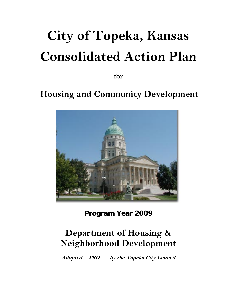# **City of Topeka, Kansas Consolidated Action Plan**

**for** 

# **Housing and Community Development**



**Program Year 2009** 

# **Department of Housing & Neighborhood Development**

**Adopted TBD by the Topeka City Council**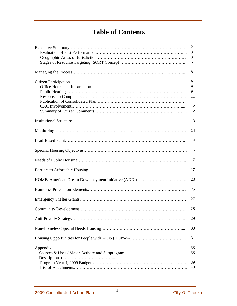# **Table of Contents**

|                                                | 2  |
|------------------------------------------------|----|
|                                                | 3  |
|                                                | 3  |
|                                                | 5  |
|                                                | 8  |
|                                                | 9  |
|                                                | 9  |
|                                                | 9  |
|                                                | 11 |
|                                                | 11 |
|                                                |    |
|                                                | 12 |
|                                                | 12 |
|                                                | 13 |
|                                                | 14 |
|                                                | 14 |
|                                                | 16 |
|                                                | 17 |
|                                                | 17 |
|                                                | 23 |
|                                                | 25 |
|                                                | 27 |
|                                                | 28 |
|                                                | 29 |
|                                                | 30 |
|                                                | 31 |
|                                                | 33 |
| Sources & Uses / Major Activity and Subprogram | 33 |
|                                                |    |
|                                                | 39 |
|                                                | 40 |
|                                                |    |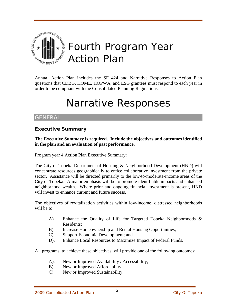

Annual Action Plan includes the SF 424 and Narrative Responses to Action Plan questions that CDBG, HOME, HOPWA, and ESG grantees must respond to each year in order to be compliant with the Consolidated Planning Regulations.

# Narrative Responses

# GENERAL

# **Executive Summary**

**The Executive Summary is required. Include the objectives and outcomes identified in the plan and an evaluation of past performance.** 

<span id="page-2-0"></span>Program year 4 Action Plan Executive Summary:

The City of Topeka Department of Housing & Neighborhood Development (HND) will concentrate resources geographically to entice collaborative investment from the private sector. Assistance will be directed primarily to the low-to-moderate-income areas of the City of Topeka. A major emphasis will be to promote identifiable impacts and enhanced neighborhood wealth. Where prior and ongoing financial investment is present, HND will invest to enhance current and future success.

The objectives of revitalization activities within low-income, distressed neighborhoods will be to:

- A). Enhance the Quality of Life for Targeted Topeka Neighborhoods & Residents;
- B). Increase Homeownership and Rental Housing Opportunities;
- C). Support Economic Development; and
- D). Enhance Local Resources to Maximize Impact of Federal Funds.

All programs, to achieve these objectives, will provide one of the following outcomes:

- A). New or Improved Availability / Accessibility;
- B). New or Improved Affordability;
- C). New or Improved Sustainability.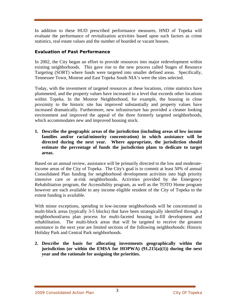In addition to these HUD prescribed performance measures, HND of Topeka will evaluate the performance of revitalization activities based upon such factors as crime statistics, real estate values and the number of boarded or vacant houses.

# **Evaluation of Past Performance**

In 2002, the City began an effort to provide resources into major redevelopment within existing neighborhoods. This gave rise to the new process called Stages of Resource Targeting (SORT) where funds were targeted into smaller defined areas. Specifically, Tennessee Town, Monroe and East Topeka South NIA's were the sites selected.

Today, with the investment of targeted resources at these locations, crime statistics have plummeted, and the property values have increased to a level that exceeds other locations within Topeka. In the Monroe Neighborhood, for example, the housing in close proximity to the historic site has improved substantially and property values have increased dramatically. Furthermore, new infrastructure has provided a cleaner looking environment and improved the appeal of the three formerly targeted neighborhoods, which accommodates new and improved housing stock.

**1. Describe the geographic areas of the jurisdiction (including areas of low income families and/or racial/minority concentration) in which assistance will be directed during the next year. Where appropriate, the jurisdiction should estimate the percentage of funds the jurisdiction plans to dedicate to target areas.** 

Based on an annual review, assistance will be primarily directed to the low and moderateincome areas of the City of Topeka. The City's goal is to commit at least 50% of annual Consolidated Plan funding for neighborhood development activities into high priority intensive care or at-risk neighborhoods. Activities provided by the Emergency Rehabilitation program, the Accessibility program, as well as the TOTO Home program however are each available to any income eligible resident of the City of Topeka to the extent funding is available.

With minor exceptions, spending in low-income neighborhoods will be concentrated in multi-block areas (typically 3-5 blocks) that have been strategically identified through a neighborhood/area plan process for multi-faceted housing in-fill development and rehabilitation. The multi-block areas that will be targeted to receive the greatest assistance in the next year are limited sections of the following neighborhoods: Historic Holiday Park and Central Park neighborhoods.

**2. Describe the basis for allocating investments geographically within the jurisdiction (or within the EMSA for HOPWA) (91.215(a)(1)) during the next year and the rationale for assigning the priorities.**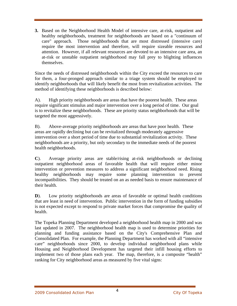**3.** Based on the Neighborhood Health Model of intensive care, at-risk, outpatient and healthy neighborhoods, treatment for neighborhoods are based on a "continuum of care" approach. Those neighborhoods that are most distressed (intensive care) require the most intervention and therefore, will require sizeable resources and attention. However, if all relevant resources are devoted to an intensive care area, an at-risk or unstable outpatient neighborhood may fall prey to blighting influences themselves.

Since the needs of distressed neighborhoods within the City exceed the resources to care for them, a four-pronged approach similar to a triage system should be employed to identify neighborhoods that will likely benefit the most from revitalization activities. The method of identifying these neighborhoods is described below:

A). High priority neighborhoods are areas that have the poorest health. These areas require significant stimulus and major intervention over a long period of time. Our goal is to revitalize these neighborhoods. These are priority status neighborhoods that will be targeted the most aggressively.

B). Above-average priority neighborhoods are areas that have poor health. These areas are rapidly declining but can be revitalized through moderately aggressive intervention over a short period of time due to substantial revitalization activity. These neighborhoods are a priority, but only secondary to the immediate needs of the poorest health neighborhoods.

**C**). Average priority areas are stable/rising at-risk neighborhoods or declining outpatient neighborhood areas of favorable health that will require either minor intervention or prevention measures to address a significant neighborhood need. Rising healthy neighborhoods may require some planning intervention to prevent incompatibilities. They should be treated on an as needed basis to ensure maintenance of their health.

**D**). Low priority neighborhoods are areas of favorable or optimal health conditions that are least in need of intervention. Public intervention in the form of funding subsidies is not expected except to respond to private market forces that compromise the quality of health.

The Topeka Planning Department developed a neighborhood health map in 2000 and was last updated in 2007. The neighborhood health map is used to determine priorities for planning and funding assistance based on the City's Comprehensive Plan and Consolidated Plan. For example, the Planning Department has worked with all "intensive care" neighborhoods since 2000, to develop individual neighborhood plans while Housing and Neighborhood Development has targeted their infill housing efforts to implement two of those plans each year. The map, therefore, is a composite "health" ranking for City neighborhood areas as measured by five vital signs: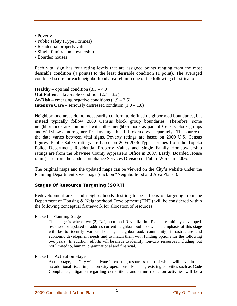- Poverty
- Public safety (Type I crimes)
- Residential property values
- Single-family homeownership
- Boarded houses

Each vital sign has four rating levels that are assigned points ranging from the most desirable condition (4 points) to the least desirable condition (1 point). The averaged combined score for each neighborhood area fell into one of the following classifications:

**Healthy** – optimal condition  $(3.3 - 4.0)$ **Out Patient** – favorable condition (2.7 – 3.2) At-Risk – emerging negative conditions  $(1.9 - 2.6)$ **Intensive Care** – seriously distressed condition  $(1.0 - 1.8)$ 

Neighborhood areas do not necessarily conform to defined neighborhood boundaries, but instead typically follow 2000 Census block group boundaries. Therefore, some neighborhoods are combined with other neighborhoods as part of Census block groups and will show a more generalized average than if broken down separately. The source of the data varies between vital signs. Poverty ratings are based on 2000 U.S. Census figures. Public Safety ratings are based on 2005-2006 Type I crimes from the Topeka Police Department. Residential Property Values and Single Family Homeownership ratings are from the Shawnee County Appraisers Office in 2007. Lastly, Boarded House ratings are from the Code Compliance Services Division of Public Works in 2006.

The original maps and the updated maps can be viewed on the City's website under the Planning Department's web page (click on "Neighborhood and Area Plans").

# **Stages Of Resource Targeting (SORT)**

Redevelopment areas and neighborhoods desiring to be a focus of targeting from the Department of Housing & Neighborhood Development (HND) will be considered within the following conceptual framework for allocation of resources:

#### Phase I – Planning Stage

This stage is where two (2) Neighborhood Revitalization Plans are initially developed, reviewed or updated to address current neighborhood needs. The emphasis of this stage will be to identify various housing, neighborhood, community, infrastructure and economic development needs and to match them with funding options for the following two years. In addition, efforts will be made to identify non-City resources including, but not limited to, human, organizational and financial.

#### Phase II – Activation Stage

At this stage, the City will activate its existing resources, most of which will have little or no additional fiscal impact on City operations. Focusing existing activities such as Code Compliance, litigation regarding demolitions and crime reduction activities will be a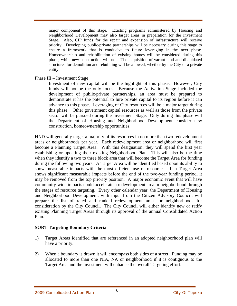major component of this stage. Existing programs administered by Housing and Neighborhood Development may also target areas in preparation for the Investment Stage. Also, CIP funds for the repair and expansion of infrastructure will receive priority. Developing public/private partnerships will be necessary during this stage to ensure a framework that is conducive to future leveraging in the next phase. Homeownership and rehabilitation of existing homes will be considered during this phase, while new construction will not. The acquisition of vacant land and dilapidated structures for demolition and rebuilding will be allowed, whether by the City or a private entity.

#### Phase III – Investment Stage

Investment of new capital will be the highlight of this phase. However, City funds will not be the only focus. Because the Activation Stage included the development of public/private partnerships, an area must be prepared to demonstrate it has the potential to lure private capital to its region before it can advance to this phase. Leveraging of City resources will be a major target during this phase. Other government capital resources as well as those from the private sector will be pursued during the Investment Stage. Only during this phase will the Department of Housing and Neighborhood Development consider new construction, homeownership opportunities.

HND will generally target a majority of its resources in no more than two redevelopment areas or neighborhoods per year. Each redevelopment area or neighborhood will first become a Planning Target Area. With this designation, they will spend the first year establishing or updating their existing Neighborhood Plan. This will also be the time when they identify a two to three block area that will become the Target Area for funding during the following two years. A Target Area will be identified based upon its ability to show measurable impacts with the most efficient use of resources. If a Target Area shows significant measurable impacts before the end of the two-year funding period, it may be removed from the top priority position. A major economic event that will have community-wide impacts could accelerate a redevelopment area or neighborhood through the stages of resource targeting. Every other calendar year, the Department of Housing and Neighborhood Development, with input from the Citizen Advisory Council, will prepare the list of rated and ranked redevelopment areas or neighborhoods for consideration by the City Council. The City Council will either identify new or ratify existing Planning Target Areas through its approval of the annual Consolidated Action Plan.

# **SORT Targeting Boundary Criteria**

- 1) Target Areas identified that are referenced in an adopted neighborhood plan will have a priority.
- 2) When a boundary is drawn it will encompass both sides of a street. Funding may be allocated to more than one NIA, NA or neighborhood if it is contiguous to the Target Area and the investment will enhance the overall Targeting effort.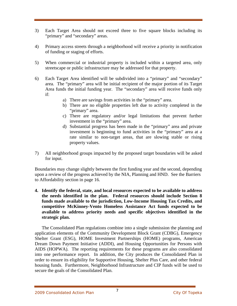- 3) Each Target Area should not exceed three to five square blocks including its "primary" and "secondary" areas.
- 4) Primary access streets through a neighborhood will receive a priority in notification of funding or staging of efforts.
- 5) When commercial or industrial property is included within a targeted area, only streetscape or public infrastructure may be addressed for that property.
- 6) Each Target Area identified will be subdivided into a "primary" and "secondary" area. The "primary" area will be initial recipient of the major portion of its Target Area funds the initial funding year. The "secondary" area will receive funds only if:
	- a) There are savings from activities in the "primary" area.
	- b) There are no eligible properties left due to activity completed in the "primary" area.
	- c) There are regulatory and/or legal limitations that prevent further investment in the "primary" area.
	- d) Substantial progress has been made in the "primary" area and private investment is beginning to fund activities in the "primary" area at a rate similar to non-target areas, that are slowing stable or rising property values.
- 7) All neighborhood groups impacted by the proposed target boundaries will be asked for input.

Boundaries may change slightly between the first funding year and the second, depending upon a review of the progress achieved by the NIA, Planning and HND. See the Barriers to Affordability section in page 16.

**4. Identify the federal, state, and local resources expected to be available to address the needs identified in the plan. Federal resources should include Section 8 funds made available to the jurisdiction, Low-Income Housing Tax Credits, and competitive McKinney-Vento Homeless Assistance Act funds expected to be available to address priority needs and specific objectives identified in the strategic plan.** 

The Consolidated Plan regulations combine into a single submission the planning and application elements of the Community Development Block Grant (CDBG), Emergency Shelter Grant (ESG), HOME Investment Partnerships (HOME) programs, American Dream Down Payment Initiative (ADDI), and Housing Opportunities for Persons with AIDS (HOPWA). The reporting requirements for these programs are also consolidated into one performance report. In addition, the City produces the Consolidated Plan in order to ensure its eligibility for Supportive Housing, Shelter Plus Care, and other federal housing funds. Furthermore, Neighborhood Infrastructure and CIP funds will be used to secure the goals of the Consolidated Plan.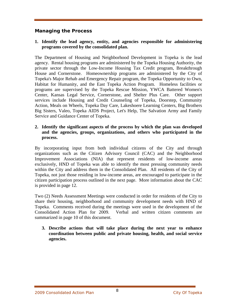# **Managing the Process**

#### **1. Identify the lead agency, entity, and agencies responsible for administering programs covered by the consolidated plan.**

The Department of Housing and Neighborhood Development in Topeka is the lead agency. Rental housing programs are administered by the Topeka Housing Authority, the private sector through the Low-Income Housing Tax Credit program, Breakthrough House and Cornerstone. Homeownership programs are administered by the City of Topeka's Major Rehab and Emergency Repair program, the Topeka Opportunity to Own, Habitat for Humanity, and the East Topeka Action Program. Homeless facilities or programs are supervised by the Topeka Rescue Mission, YWCA Battered Women's Center, Kansas Legal Service, Cornerstone, and Shelter Plus Care. Other support services include Housing and Credit Counseling of Topeka, Doorstep, Community Action, Meals on Wheels, Topeka Day Care, Lakeshoere Learning Centers, Big Brothers Big Sisters, Valeo, Topeka AIDS Project, Let's Help, The Salvation Army and Family Service and Guidance Center of Topeka.

# **2. Identify the significant aspects of the process by which the plan was developed and the agencies, groups, organizations, and others who participated in the process.**

By incorporating input from both individual citizens of the City and through organizations such as the Citizen Advisory Council (CAC) and the Neighborhood Improvement Associations (NIA) that represent residents of low-income areas exclusively, HND of Topeka was able to identify the most pressing community needs within the City and address them in the Consolidated Plan. All residents of the City of Topeka, not just those residing in low-income areas, are encouraged to participate in the citizen participation process outlined in the next page. More information about the CAC is provided in page 12.

Two (2) Needs Assessment Meetings were conducted in order for residents of the City to share their housing, neighborhood and community development needs with HND of Topeka. Comments received during the meetings were used in the development of the Consolidated Action Plan for 2009. Verbal and written citizen comments are summarized in page 10 of this document.

**3. Describe actions that will take place during the next year to enhance coordination between public and private housing, health, and social service agencies.**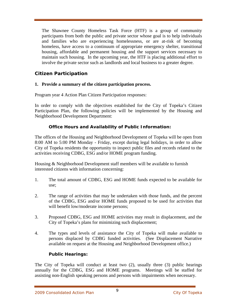The Shawnee County Homeless Task Force (HTF) is a group of community participants from both the public and private sector whose goal is to help individuals and families who are experiencing homelessness, or are at-risk of becoming homeless, have access to a continuum of appropriate emergency shelter, transitional housing, affordable and permanent housing and the support services necessary to maintain such housing. In the upcoming year, the HTF is placing additional effort to involve the private sector such as landlords and local business to a greater degree.

# **Citizen Participation**

# **1. Provide a summary of the citizen participation process.**

[Program year 4 A](#page-2-0)ction Plan Citizen Participation responses:

In order to comply with the objectives established for the City of Topeka's Citizen Participation Plan, the following policies will be implemented by the Housing and Neighborhood Development Department:

# **Office Hours and Availability of Public Information:**

The offices of the Housing and Neighborhood Development of Topeka will be open from 8:00 AM to 5:00 PM Monday - Friday, except during legal holidays, in order to allow City of Topeka residents the opportunity to inspect public files and records related to the activities receiving CDBG, ESG and/or HOME program funding.

Housing & Neighborhood Development staff members will be available to furnish interested citizens with information concerning:

- 1. The total amount of CDBG, ESG and HOME funds expected to be available for use;
- 2. The range of activities that may be undertaken with those funds, and the percent of the CDBG, ESG and/or HOME funds proposed to be used for activities that will benefit low/moderate income persons;
- 3. Proposed CDBG, ESG and HOME activities may result in displacement, and the City of Topeka's plans for minimizing such displacement;
- 4. The types and levels of assistance the City of Topeka will make available to persons displaced by CDBG funded activities. (See Displacement Narrative available on request at the Housing and Neighborhood Development office.)

# **Public Hearings:**

The City of Topeka will conduct at least two (2), usually three (3) public hearings annually for the CDBG, ESG and HOME programs. Meetings will be staffed for assisting non-English speaking persons and persons with impairments when necessary.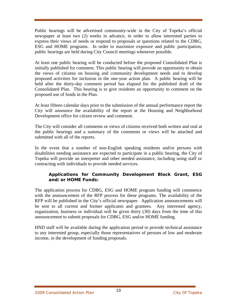Public hearings will be advertised community-wide in the City of Topeka's official newspaper at least two (2) weeks in advance, in order to allow interested parties to express their views of needs or respond to proposals or questions related to the CDBG, ESG and HOME programs. In order to maximize exposure and public participation, public hearings are held during City Council meetings whenever possible.

At least one public hearing will be conducted before the proposed Consolidated Plan is initially published for comment. This public hearing will provide an opportunity to obtain the views of citizens on housing and community development needs and to develop proposed activities for inclusion in the one-year action plan. A public hearing will be held after the thirty-day comment period has elapsed for the published draft of the Consolidated Plan. This hearing is to give residents an opportunity to comment on the proposed use of funds in the Plan.

At least fifteen calendar days prior to the submission of the annual performance report the City will announce the availability of the report at the Housing and Neighborhood Development office for citizen review and comment.

The City will consider all comments or views of citizens received both written and oral at the public hearings and a summary of the comments or views will be attached and submitted with all of the reports.

In the event that a number of non-English speaking residents and/or persons with disabilities needing assistance are expected to participate in a public hearing, the City of Topeka will provide an interpreter and other needed assistance, including using staff or contracting with individuals to provide needed services.

# **Applications for Community Development Block Grant, ESG and/or HOME Funds:**

The application process for CDBG, ESG and HOME program funding will commence with the announcement of the RFP process for these programs. The availability of the RFP will be published in the City's official newspaper. Application announcements will be sent to all current and former applicants and grantees. Any interested agency, organization, business or individual will be given thirty (30) days from the time of this announcement to submit proposals for CDBG, ESG and/or HOME funding.

HND staff will be available during the application period to provide technical assistance to any interested group, especially those representatives of persons of low and moderate income, in the development of funding proposals.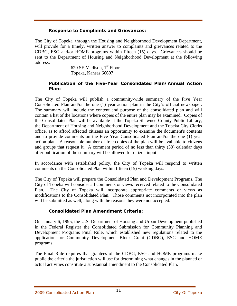#### **Response to Complaints and Grievances:**

The City of Topeka, through the Housing and Neighborhood Development Department, will provide for a timely, written answer to complaints and grievances related to the CDBG, ESG and/or HOME programs within fifteen (15) days. Grievances should be sent to the Department of Housing and Neighborhood Development at the following address:

> 620 SE Madison,  $1<sup>st</sup>$  Floor Topeka, Kansas 66607

#### **Publication of the Five-Year Consolidated Plan/Annual Action Plan:**

The City of Topeka will publish a community-wide summary of the Five Year Consolidated Plan and/or the one (1) year action plan in the City's official newspaper. The summary will include the content and purpose of the consolidated plan and will contain a list of the locations where copies of the entire plan may be examined. Copies of the Consolidated Plan will be available at the Topeka Shawnee County Public Library, the Department of Housing and Neighborhood Development and the Topeka City Clerks office, as to afford affected citizens an opportunity to examine the document's contents and to provide comments on the Five Year Consolidated Plan and/or the one (1) year action plan. A reasonable number of free copies of the plan will be available to citizens and groups that request it. A comment period of no less than thirty (30) calendar days after publication of the summary will be allowed for citizen input.

In accordance with established policy, the City of Topeka will respond to written comments on the Consolidated Plan within fifteen (15) working days.

The City of Topeka will prepare the Consolidated Plan and Development Programs. The City of Topeka will consider all comments or views received related to the Consolidated Plan. The City of Topeka will incorporate appropriate comments or views as modifications to the Consolidated Plan. Those comments not incorporated into the plan will be submitted as well, along with the reasons they were not accepted.

# **Consolidated Plan Amendment Criteria:**

On January 6, 1995, the U.S. Department of Housing and Urban Development published in the Federal Register the Consolidated Submission for Community Planning and Development Programs Final Rule, which established new regulations related to the application for Community Development Block Grant (CDBG), ESG and HOME programs.

The Final Rule requires that grantees of the CDBG, ESG and HOME programs make public the criteria the jurisdiction will use for determining what changes in the planned or actual activities constitute a substantial amendment to the Consolidated Plan.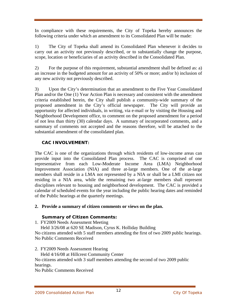In compliance with these requirements, the City of Topeka hereby announces the following criteria under which an amendment to its Consolidated Plan will be made:

1) The City of Topeka shall amend its Consolidated Plan whenever it decides to carry out an activity not previously described, or to substantially change the purpose, scope, location or beneficiaries of an activity described in the Consolidated Plan.

2) For the purpose of this requirement, substantial amendment shall be defined as: a) an increase in the budgeted amount for an activity of 50% or more; and/or b) inclusion of any new activity not previously described.

3) Upon the City's determination that an amendment to the Five Year Consolidated Plan and/or the One (1) Year Action Plan is necessary and consistent with the amendment criteria established herein, the City shall publish a community-wide summary of the proposed amendment in the City's official newspaper. The City will provide an opportunity for affected individuals, in writing, via e-mail or by visiting the Housing and Neighborhood Development office, to comment on the proposed amendment for a period of not less than thirty (30) calendar days. A summary of incorporated comments, and a summary of comments not accepted and the reasons therefore, will be attached to the substantial amendment of the consolidated plan.

# **CAC INVOLVEMENT:**

The CAC is one of the organizations through which residents of low-income areas can provide input into the Consolidated Plan process. The CAC is comprised of one representative from each Low-Moderate Income Area (LMA) Neighborhood Improvement Association (NIA) and three at-large members. One of the at-large members shall reside in a LMA not represented by a NIA or shall be a LMI citizen not residing in a NIA area, while the remaining two at-large members shall represent disciplines relevant to housing and neighborhood development. The CAC is provided a calendar of scheduled events for the year including the public hearing dates and reminded of the Public hearings at the quarterly meetings.

# **2. Provide a summary of citizen comments or views on the plan.**

# **Summary of Citizen Comments:**

- 1. FY2009 Needs Assessment Meeting
- Held 3/26/08 at 620 SE Madison, Cyrus K. Holliday Building

No citizens attended with 5 staff members attending the first of two 2009 public hearings. No Public Comments Received

- 2. FY2009 Needs Assessment Hearing
- Held 4/16/08 at Hillcrest Community Center

No citizens attended with 3 staff members attending the second of two 2009 public hearings.

No Public Comments Received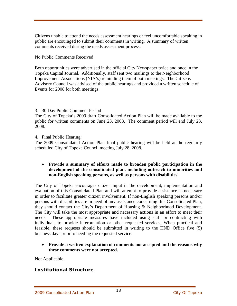Citizens unable to attend the needs assessment hearings or feel uncomfortable speaking in public are encouraged to submit their comments in writing. A summary of written comments received during the needs assessment process:

No Public Comments Received

Both opportunities were advertised in the official City Newspaper twice and once in the Topeka Capital Journal. Additionally, staff sent two mailings to the Neighborhood Improvement Associations (NIA's) reminding them of both meetings. The Citizens Advisory Council was advised of the public hearings and provided a written schedule of Events for 2008 for both meetings.

# 3. 30 Day Public Comment Period

The City of Topeka's 2009 draft Consolidated Action Plan will be made available to the public for written comments on June 23, 2008. The comment period will end July 23, 2008.

4. Final Public Hearing:

The 2009 Consolidated Action Plan final public hearing will be held at the regularly scheduled City of Topeka Council meeting July 28, 2008.

# • **Provide a summary of efforts made to broaden public participation in the development of the consolidated plan, including outreach to minorities and non-English speaking persons, as well as persons with disabilities.**

The City of Topeka encourages citizen input in the development, implementation and evaluation of this Consolidated Plan and will attempt to provide assistance as necessary in order to facilitate greater citizen involvement. If non-English speaking persons and/or persons with disabilities are in need of any assistance concerning this Consolidated Plan, they should contact the City's Department of Housing & Neighborhood Development. The City will take the most appropriate and necessary actions in an effort to meet their needs. These appropriate measures have included using staff or contracting with individuals to provide interpretation or other requested services. When practical and feasible, these requests should be submitted in writing to the HND Office five (5) business days prior to needing the requested service.

• **Provide a written explanation of comments not accepted and the reasons why these comments were not accepted.** 

Not Applicable.

# **Institutional Structure**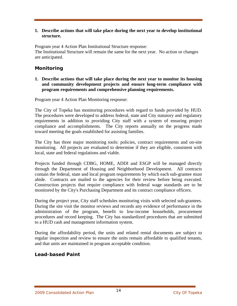#### **1. Describe actions that will take place during the next year to develop institutional structure.**

[Program year 4 A](#page-2-0)ction Plan Institutional Structure response: The Institutional Structure will remain the same for the next year. No action or changes are anticipated.

# **Monitoring**

**1. Describe actions that will take place during the next year to monitor its housing and community development projects and ensure long-term compliance with program requirements and comprehensive planning requirements.** 

[Program year 4 A](#page-2-0)ction Plan Monitoring response:

The City of Topeka has monitoring procedures with regard to funds provided by HUD. The procedures were developed to address federal, state and City statutory and regulatory requirements in addition to providing City staff with a system of ensuring project compliance and accomplishments. The City reports annually on the progress made toward meeting the goals established for assisting families.

The City has three major monitoring tools: policies, contract requirements and on-site monitoring. All projects are evaluated to determine if they are eligible, consistent with local, state and federal regulations and viable.

Projects funded through CDBG, HOME, ADDI and ESGP will be managed directly through the Department of Housing and Neighborhood Development. All contracts contain the federal, state and local program requirements by which each sub-grantee must abide. Contracts are mailed to the agencies for their review before being executed. Construction projects that require compliance with federal wage standards are to be monitored by the City's Purchasing Department and its contract compliance officers.

During the project year, City staff schedules monitoring visits with selected sub-grantees. During the site visit the monitor reviews and records any evidence of performance in the administration of the program, benefit to low-income households, procurement procedures and record keeping. The City has standardized procedures that are submitted to a HUD cash and management information system.

During the affordability period, the units and related rental documents are subject to regular inspection and review to ensure the units remain affordable to qualified tenants, and that units are maintained in program acceptable condition.

# **Lead-based Paint**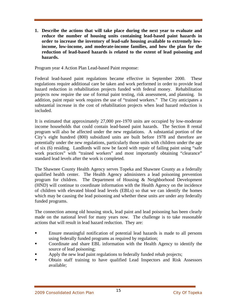**1. Describe the actions that will take place during the next year to evaluate and reduce the number of housing units containing lead-based paint hazards in order to increase the inventory of lead-safe housing available to extremely lowincome, low-income, and moderate-income families, and how the plan for the reduction of lead-based hazards is related to the extent of lead poisoning and hazards.** 

[Program year 4 A](#page-2-0)ction Plan Lead-based Paint response:

Federal lead-based paint regulations became effective in September 2000. These regulations require additional care be taken and work performed in order to provide lead hazard reduction in rehabilitation projects funded with federal money. Rehabilitation projects now require the use of formal paint testing, risk assessment, and planning. In addition, paint repair work requires the use of "trained workers." The City anticipates a substantial increase in the cost of rehabilitation projects when lead hazard reduction is included.

It is estimated that approximately 27,000 pre-1970 units are occupied by low-moderate income households that could contain lead-based paint hazards. The Section 8 rental program will also be affected under the new regulations. A substantial portion of the City's eight hundred (800) subsidized units are built before 1978 and therefore are potentially under the new regulations, particularly those units with children under the age of six (6) residing. Landlords will now be faced with repair of failing paint using "safe work practices" with "trained workers" and most importantly obtaining "clearance" standard lead levels after the work is completed.

The Shawnee County Health Agency serves Topeka and Shawnee County as a federally qualified health center. The Health Agency administers a lead poisoning prevention program for children. The Department of Housing & Neighborhood Development (HND) will continue to coordinate information with the Health Agency on the incidence of children with elevated blood lead levels (EBLs) so that we can identify the homes which may be causing the lead poisoning and whether these units are under any federally funded programs.

The connection among old housing stock, lead paint and lead poisoning has been clearly made on the national level for many years now. The challenge is to take reasonable actions that will result in lead hazard reduction. They are:

- Ensure meaningful notification of potential lead hazards is made to all persons using federally funded programs as required by regulation;
- Coordinate and share EBL information with the Health Agency to identify the source of lead poisoning;
- Apply the new lead paint regulations to federally funded rehab projects;
- Obtain staff training to have qualified Lead Inspectors and Risk Assessors available;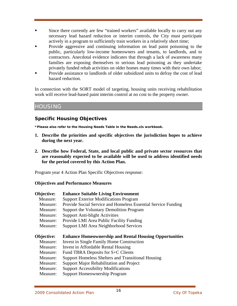- Since there currently are few "trained workers" available locally to carry out any necessary lead hazard reduction or interim controls, the City must participate actively in a program to sufficiently train workers in a relatively short time;
- Provide aggressive and continuing information on lead paint poisoning to the public, particularly low-income homeowners and tenants, to landlords, and to contractors. Anecdotal evidence indicates that through a lack of awareness many families are exposing themselves to serious lead poisoning as they undertake privately funded rehab activities on older homes many times with their own labor;
- Provide assistance to landlords of older subsidized units to defray the cost of lead hazard reduction.

In connection with the SORT model of targeting, housing units receiving rehabilitation work will receive lead-based paint interim control at no cost to the property owner.

# HOUSING

# **Specific Housing Objectives**

**\*Please also refer to the Housing Needs Table in the Needs.xls workbook.** 

- **1. Describe the priorities and specific objectives the jurisdiction hopes to achieve during the next year.**
- **2. Describe how Federal, State, and local public and private sector resources that are reasonably expected to be available will be used to address identified needs for the period covered by this Action Plan.**

[Program year 4 A](#page-2-0)ction Plan Specific Objectives response:

# **Objectives and Performance Measures**

| Objective: | <b>Enhance Suitable Living Environment</b>                    |
|------------|---------------------------------------------------------------|
| Measure:   | <b>Support Exterior Modifications Program</b>                 |
| Measure:   | Provide Social Service and Homeless Essential Service Funding |
| Measure:   | Support the Voluntary Demolition Program                      |
| Measure:   | <b>Support Anti-blight Activities</b>                         |
| Measure:   | Provide LMI Area Public Facility Funding                      |
| Measure:   | <b>Support LMI Area Neighborhood Services</b>                 |
|            |                                                               |
|            |                                                               |
| Objective: | <b>Enhance Homeownership and Rental Housing Opportunities</b> |
| Measure:   | Invest in Single Family Home Construction                     |
| Measure:   | Invest in Affordable Rental Housing                           |
| Measure:   | Fund TBRA Deposits for S+C Clients                            |
| Measure:   | <b>Support Homeless Shelters and Transitional Housing</b>     |
| Measure:   | Support Major Rehabilitation and Project                      |
| Measure:   | <b>Support Accessibility Modifications</b>                    |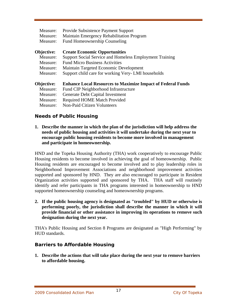| Measure:          | Provide Subsistence Payment Support                                |
|-------------------|--------------------------------------------------------------------|
| Measure:          | Maintain Emergency Rehabilitation Program                          |
| Measure:          | <b>Fund Homeownership Counseling</b>                               |
| <b>Objective:</b> | <b>Create Economic Opportunities</b>                               |
| Measure:          | Support Social Service and Homeless Employment Training            |
| Measure:          | <b>Fund Micro Business Activities</b>                              |
| Measure:          | Maintain Targeted Economic Development                             |
| Measure:          | Support child care for working Very-LMI households                 |
| <b>Objective:</b> | <b>Enhance Local Resources to Maximize Impact of Federal Funds</b> |
| Measure:          | Fund CIP Neighborhood Infrastructure                               |
| Measure:          | Generate Debt Capital Investment                                   |
| Measure:          | <b>Required HOME Match Provided</b>                                |
| Measure:          | <b>Non-Paid Citizen Volunteers</b>                                 |

# **Needs of Public Housing**

**1. Describe the manner in which the plan of the jurisdiction will help address the needs of public housing and activities it will undertake during the next year to encourage public housing residents to become more involved in management and participate in homeownership.** 

HND and the Topeka Housing Authority (THA) work cooperatively to encourage Public Housing residents to become involved in achieving the goal of homeownership. Public Housing residents are encouraged to become involved and to play leadership roles in Neighborhood Improvement Associations and neighborhood improvement activities supported and sponsored by HND. They are also encouraged to participate in Resident Organization activities supported and sponsored by THA. THA staff will routinely identify and refer participants in THA programs interested in homeownership to HND supported homeownership counseling and homeownership programs.

**2. If the public housing agency is designated as "troubled" by HUD or otherwise is performing poorly, the jurisdiction shall describe the manner in which it will provide financial or other assistance in improving its operations to remove such designation during the next year.** 

THA's Public Housing and Section 8 Programs are designated as "High Performing" by HUD standards.

# **Barriers to Affordable Housing**

**1. Describe the actions that will take place during the next year to remove barriers to affordable housing.**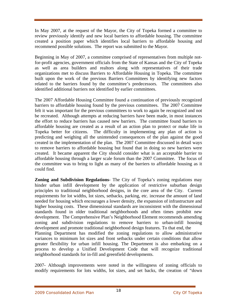In May 2007, at the request of the Mayor, the City of Topeka formed a committee to review previously identify and new local barriers to affordable housing. The committee created a position paper which identifies local barriers to affordable housing and recommend possible solutions. The report was submitted to the Mayor.

Beginning in May of 2007, a committee comprised of representatives from multiple notfor-profit agencies, government officials from the State of Kansas and the City of Topeka as well as area builders and realtors along with representatives of their trade organizations met to discuss Barriers to Affordable Housing in Topeka. The committee built upon the work of the previous Barriers Committees by identifying new factors related to the barriers found by the committee's predecessors. The committees also identified additional barriers not identified by earlier committees.

The 2007 Affordable Housing Committee found a continuation of previously recognized barriers to affordable housing found by the previous committees. The 2007 Committee felt it was important for the previous committees to work to again be recognized and not be recreated. Although attempts at reducing barriers have been made, in most instances the effort to reduce barriers has caused new barriers. The committee found barriers to affordable housing are created as a result of an action plan to protect or make life in Topeka better for citizens. The difficulty in implementing any plan of action is predicting and weighing all the unintended consequences of the plan against the good created in the implementation of the plan. The 2007 Committee discussed in detail ways to remove barriers to affordable housing but found that in doing so new barriers were created. It became apparent the City should consider what is an acceptable barrier to affordable housing through a larger scale forum than the 2007 Committee. The focus of the committee was to bring to light as many of the barriers to affordable housing as it could find.

**Zoning and Subdivision Regulations**- The City of Topeka's zoning regulations may hinder urban infill development by the application of restrictive suburban design principles to traditional neighborhood designs, in the core area of the City. Current requirements for lot widths, lot sizes, setbacks, parking, etc. increase the amount of land needed for housing which encourages a lower density, the expansion of infrastructure and higher housing costs. These dimensional standards are inconsistent with the dimensional standards found in older traditional neighborhoods and often times prohibit new development. The Comprehensive Plan's Neighborhood Element recommends amending zoning and subdivision regulations to remove barriers to urban-infill housing development and promote traditional neighborhood design features. To that end, the Planning Department has modified the zoning regulations to allow administrative variances to minimum lot sizes and front setbacks under certain conditions that allow greater flexibility for urban infill housing. The Department is also embarking on a process to develop a Unified Development Code that will recognize traditional neighborhood standards for in-fill and greenfield developments.

2007- Although improvements were noted in the willingness of zoning officials to modify requirements for lots widths, lot sizes, and set backs, the creation of "down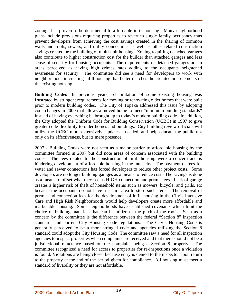zoning" has proven to be detrimental to affordable infill housing. Many neighborhood plans include provisions requiring properties to revert to single family occupancy thus prevent developers from achieving the cost savings created in the sharing of common walls and roofs, sewers, and utility connections as well as other related construction savings created be the building of multi-unit housing. Zoning requiring detached garages also contribute to higher construction cost for the builder than attached garages and less sense of security for housing occupants. The requirements of detached garages are in areas perceived as having high crimes rates adding to the occupants heightened awareness for security. The committee did see a need for developers to work with neighborhoods in creating infill housing that better matches the architectural elements of the existing housing.

**Building Codes**—In previous years, rehabilitation of some existing housing was frustrated by stringent requirements for moving or renovating older homes that were built prior to modern building codes. The City of Topeka addressed this issue by adopting code changes in 2000 that allows a moved home to meet "minimum building standards" instead of having everything be brought up to today's modern building code. In addition, the City adopted the Uniform Code for Building Conservation (UCBC) in 1997 to give greater code flexibility to older homes and buildings. City building review officials will utilize the UCBC more extensively, update as needed, and help educate the public not only on its effectiveness, but its mere presence.

2007 - Building Codes were not seen as a major barrier to affordable housing by the committee formed in 2007 but did note areas of concern associated with the building codes. The fees related to the construction of infill housing were a concern and is hindering development of affordable housing in the inter-city. The payment of fees for water and sewer connections has forced developers to reduce other project costs. Some developers are no longer building garages as a means to reduce cost. The savings is done as a means to offset what they see as HIGH connection and permit fees. Lack of garage creates a higher risk of theft of household items such as mowers, bicycle, and grills, etc because the occupants do not have a secure area to store such items. The removal of permit and connection fees for the development of infill housing in the City's Intensive Care and High Risk Neighborhoods would help developers create more affordable and marketable housing. Some neighborhoods have established covenants which limit the choice of building materials that can be utilize or the pitch of the roofs. Seen as a concern by the committee is the difference between the federal "Section 8" inspection standards and current City Housing Code regulations. The City's Housing Code is generally perceived to be a more stringed code and agencies utilizing the Section 8 standard could adopt the City Housing Code. The committee saw a need for all inspection agencies to inspect properties when complaints are received and that there should not be a jurisdictional reluctance based on the complaint being a Section 8 property. The committee recognized a need for access to properties for re-inspections once a violation is found. Violations are being closed because entry is denied to the inspector upon return to the property at the end of the period given for compliance. All housing must meet a standard of livability or they are not affordable.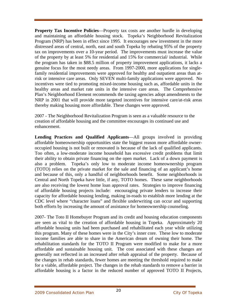**Property Tax Incentive Policies—Property tax costs are another hurdle in developing** and maintaining an affordable housing stock. Topeka's Neighborhood Revitalization Program (NRP) has been in effect since 1995. It encourages new investment in the more distressed areas of central, north, east and south Topeka by rebating 95% of the property tax on improvements over a 10-year period. The improvements must increase the value of the property by at least 5% for residential and 15% for commercial/ industrial. While the program has taken in \$88.5 million of property improvement applications, it lacks a genuine focus for the most needy areas. From 1997-2000, more applications for singlefamily residential improvements were approved for healthy and outpatient areas than atrisk or intensive care areas. Only SEVEN multi-family applications were approved. No incentives were tied to promoting mixed-income housing such as, affordable units in the healthy areas and market rate units in the intensive care areas. The Comprehensive Plan's Neighborhood Element recommends the taxing agencies adopt amendments to the NRP in 2001 that will provide more targeted incentives for intensive care/at-risk areas thereby making housing more affordable. These changes were approved.

2007 - The Neighborhood Revitalization Program is seen as a valuable resource to the creation of affordable housing and the committee encourages its continued use and enhancement.

**Lending Practices and Qualified Applicants**—All groups involved in providing affordable homeownership opportunities state the biggest reason more affordable owneroccupied housing is not built or renovated is because of the lack of qualified applicants. Too often, a low-moderate income household has excessive credit problems that limit their ability to obtain private financing on the open market. Lack of a down payment is also a problem. Topeka's only low to moderate income homeownership program (TOTO) relies on the private market for the sale and financing of an applicant's home and because of this, only a handful of neighborhoods benefit. Some neighborhoods in Central and North Topeka have little, if any, TOTO homes. These same neighborhoods are also receiving the lowest home loan approval rates. Strategies to improve financing of affordable housing projects include: encouraging private lenders to increase their capacity for affordable housing lending, making in-roads to establish more lending at the CDC level where "character loans" and flexible underwriting can occur and supporting both efforts by increasing the amount of assistance for homeownership counseling.

2007- The Toto II Homebuyer Program and its credit and housing education components are seen as vital to the creation of affordable housing in Topeka. Approximately 20 affordable housing units had been purchased and rehabilitated each year while utilizing this program. Many of these homes were in the City's inner core. These low to moderate income families are able to share in the American dream of owning their home. The rehabilitation standards for the TOTO II Program were modified to make for a more affordable and sustainable housing unit. The cost associated with these changes are generally not reflected in an increased after rehab appraisal of the property. Because of the changes in rehab standards, fewer homes are meeting the threshold required to make for a viable, affordable project. The changes in the rehab standards to remove a barrier in affordable housing is a factor in the reduced number of approved TOTO II Projects,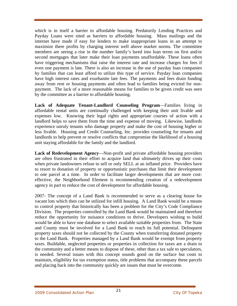which is in itself a barrier to affordable housing. Predatorily Lending Practices and Payday Loans were sited as barriers to affordable housing. Mass mailings and the internet have made if easy for lenders to make inappropriate loans in an attempt to maximize there profits by charging interest well above market norms. The committee members are seeing a rise in the number family's lured into loan terms on first and/or second mortgages that later make their loan payments unaffordable. These loans often have triggering mechanisms that raise the interest rate and increase charges for fees if even one payment is late. There is also an increase in the use of payday loan companies by families that can least afford to utilize this type of service. Payday loan companies have high interest rates and exurbanite late fees. The payments and fees drain funding away from rent or housing payments and often lead to families being evicted for nonpayment. The lack of a more reasonable means for families to be given credit was seen by the committee as a barrier to affordable housing.

**Lack of Adequate Tenant-Landlord Counseling Program**—Families living in affordable rental units are continually challenged with keeping their unit livable and expenses low. Knowing their legal rights and appropriate courses of action with a landlord helps to save them from the time and expense of moving. Likewise, landlords experience unruly tenants who damage property and make the cost of housing higher or less livable. Housing and Credit Counseling, Inc. provides counseling for tenants and landlords to help prevent or resolve conflicts that compromise the likelihood of a housing unit staying affordable for the family and the landlord.

**Lack of Redevelopment Agency**—Non-profit and private affordable housing providers are often frustrated in their effort to acquire land that ultimately drives up their costs when private landowners refuse to sell or only SELL at an inflated price. Providers have to resort to donation of property or opportunistic purchases that limit their development to one parcel at a time. In order to facilitate larger developments that are more costeffective, the Neighborhood Element is recommending creation of a redevelopment agency in part to reduce the cost of development for affordable housing.

2007- The concept of a Land Bank is recommended to serve as a clearing house for vacant lots which then can be utilized for infill housing. A Land Bank would be a means to control property that historically has been a problem for the City's Code Compliance Division. The properties controlled by the Land Bank would be maintained and therefore reduce the opportunity for nuisance conditions to thrive. Developers wishing to build would be able to have one database to select available suitable properties from. The State and County must be involved for a Land Bank to reach its full potential. Delinquent property taxes should not be collected by the County when transferring donated property to the Land Bank. Properties managed by a Land Bank would be exempt from property taxes. Buildable, neglected properties or properties in collection for taxes are a drain to the community and a better means to dispose of these, other than a tax sale to speculators, is needed. Several issues with this concept sounds good on the surface but costs to maintain, eligibility for tax exemption status, title problems that accompany these parcels and placing back into the community quickly are issues that must be overcome.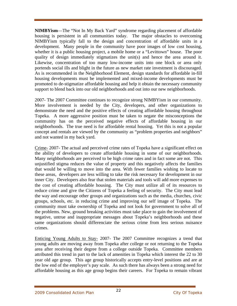**NIMBYism**—The "Not In My Back Yard" syndrome regarding placement of affordable housing is persistent in all communities today. The major obstacles to overcoming NIMBYism typically fall to the design and concentration of affordable units in a development. Many people in the community have poor images of low cost housing, whether it is a public housing project, a mobile home or a "Levittown" house. The poor quality of design immediately stigmatizes the unit(s) and hence the area around it. Likewise, concentration of too many low-income units into one block or area only portends social ills and blight in the future as new market rate investment is discouraged. As is recommended in the Neighborhood Element, design standards for affordable in-fill housing developments must be implemented and mixed-income developments must be promoted to de-stigmatize affordable housing and help it obtain the necessary community support to blend back into our old neighborhoods and out into our new neighborhoods.

2007- The 2007 Committee continues to recognize strong NIMBYism in our community. More involvement is needed by the City, developers, and other organizations to demonstrate the need and the positive effects of creating affordable housing throughout Topeka. A more aggressive position must be taken to negate the misconceptions the community has on the perceived negative effects of affordable housing in our neighborhoods. The true need is for affordable rental housing. Yet this is not a popular concept and rentals are viewed by the community as "problem properties and neighbors" and not wanted in my back yard.

Crime- 2007- The actual and perceived crime rates of Topeka have a significant effect on the ability of developers to create affordable housing in some of our neighborhoods. Many neighborhoods are perceived to be high crime rates and in fact some are not. This unjustified stigma reduces the value of property and this negatively affects the families that would be willing to move into the area. With fewer families wishing to locate to these areas, developers are less willing to take the risk necessary for development in our inner City. Developers also fear that stolen materials and tools will add more expenses to the cost of creating affordable housing. The City must utilize all of its resources to reduce crime and give the Citizens of Topeka a feeling of security. The City must lead the way and encourage other groups and organizations such as the media, churches, civic groups, schools, etc. in reducing crime and improving our self image of Topeka. The community must take ownership of Topeka and not look for government to solve all of the problems. New, ground breaking activities must take place to gain the involvement of negative, untrue and inappropriate messages about Topeka's neighborhoods and these same organizations should differenciate the serious crime from less serious nuisance crimes.

Enticing Young Adults to Stay- 2007- The 2007 Committee recognizes a trend that young adults are moving away from Topeka after college or not returning to the Topeka area after receiving their degree from a college outside Topeka. Committee members attributed this trend in part to the lack of amenities in Topeka which interest the 22 to 30 year old age group. This age group historically accepts entry-level positions and are at the low end of the employer's pay scale. As such there has always been a strong need for affordable housing as this age group begins their careers. For Topeka to remain vibrant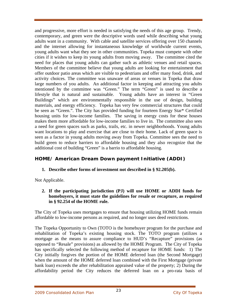and progressive, more effort is needed in satisfying the needs of this age group. Trendy, contemporary, and green were the descriptive words used while describing what young adults want in a community. With cable and satellite services offering over 150 channels and the internet allowing for instantaneous knowledge of worldwide current events, young adults want what they see in other communities. Topeka must compete with other cities if it wishes to keep its young adults from moving away. The committee cited the need for places that young adults can gather such as athletic venues and retail spaces. Members of the committee believe that young adults are looking for entertainment that offer outdoor patio areas which are visible to pedestrians and offer many food, drink, and activity choices. The committee was unaware of areas or venues in Topeka that draw large numbers of you adults. An additional factor in keeping and attracting you adults mentioned by the committee was "Green." The term "Green" is used to describe a lifestyle that is natural and sustainable. Young adults have an interest in "Green Buildings" which are environmentally responsible in the use of design, building materials, and energy efficiency. Topeka has very few commercial structures that could be seen as "Green.". The City has provided funding for fourteen Energy Star\* Certified housing units for low-income families. The saving in energy costs for these houses makes them more affordable for low-income families to live in. The committee also sees a need for green spaces such as parks, trails, etc. in newer neighborhoods. Young adults want locations to play and exercise that are close to their home. Lack of green space is seen as a factor in young adults moving away from Topeka. Committee sees the need to build green to reduce barriers to affordable housing and they also recognize that the additional cost of building "Green" is a barrio to affordable housing.

# **HOME/ American Dream Down payment Initiative (ADDI)**

**1. Describe other forms of investment not described in § 92.205(b).** 

Not Applicable.

**2. If the participating jurisdiction (PJ) will use HOME or ADDI funds for homebuyers, it must state the guidelines for resale or recapture, as required in § 92.254 of the HOME rule.** 

The City of Topeka uses mortgages to ensure that housing utilizing HOME funds remain affordable to low-income persons as required, and no longer uses deed restrictions.

The Topeka Opportunity to Own (TOTO is the homebuyer program for the purchase and rehabilitation of Topeka's existing housing stock. The TOTO program (utilizes a mortgage as the means to assure compliance to HUD's "Recapture" provisions (as opposed to "Resale" provisions) as allowed by the HOME Program. The City of Topeka has specifically selected the following method of recapture for HOME funds: 1) The City initially forgives the portion of the HOME deferred loan (the Second Mortgage) when the amount of the HOME deferred loan combined with the First Mortgage (private bank loan) exceeds the after rehabilitation appraised value of the property; 2) During the affordability period the City reduces the deferred loan on a pro-rata basis of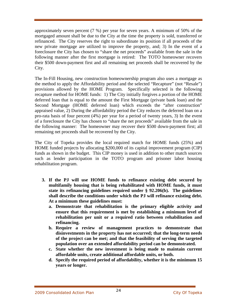approximately seven percent (7 %) per year for seven years. A minimum of 50% of the mortgaged amount shall be due to the City at the time the property is sold, transferred or refinanced. The City reserves the right to subordinate its position if all proceeds of the new private mortgage are utilized to improve the property, and; 3) In the event of a foreclosure the City has chosen to "share the net proceeds" available from the sale in the following manner after the first mortgage is retired: The TOTO homeowner recovers their \$500 down-payment first and all remaining net proceeds shall be recovered by the City.

The In-Fill Housing, new construction homeownership program also uses a mortgage as the method to apply the Affordability period and the selected "Recapture" (not "Resale") provisions allowed by the HOME Program. Specifically selected is the following recapture method for HOME funds: 1) The City initially forgives a portion of the HOME deferred loan that is equal to the amount the First Mortgage (private bank loan) and the Second Mortgage (HOME deferred loan) which exceeds the "after construction" appraised value, 2) During the affordability period the City reduces the deferred loan on a pro-rata basis of four percent (4%) per year for a period of twenty years, 3) In the event of a foreclosure the City has chosen to "share the net proceeds" available from the sale in the following manner: The homeowner may recover their \$500 down-payment first; all remaining net proceeds shall be recovered by the City.

The City of Topeka provides the local required match for HOME funds (25%) and HOME funded projects by allocating \$200,000 of its capital improvement program (CIP) funds as shown in the budget. This CIP money is used in addition to other match sources such as lender participation in the TOTO program and prisoner labor housing rehabilitation program.

- **3. If the PJ will use HOME funds to refinance existing debt secured by multifamily housing that is being rehabilitated with HOME funds, it must state its refinancing guidelines required under § 92.206(b). The guidelines shall describe the conditions under which the PJ will refinance existing debt. At a minimum these guidelines must:** 
	- **a. Demonstrate that rehabilitation is the primary eligible activity and ensure that this requirement is met by establishing a minimum level of rehabilitation per unit or a required ratio between rehabilitation and refinancing.**
	- **b. Require a review of management practices to demonstrate that disinvestments in the property has not occurred; that the long-term needs of the project can be met; and that the feasibility of serving the targeted population over an extended affordability period can be demonstrated.**
	- **c. State whether the new investment is being made to maintain current affordable units, create additional affordable units, or both.**
	- **d. Specify the required period of affordability, whether it is the minimum 15 years or longer.**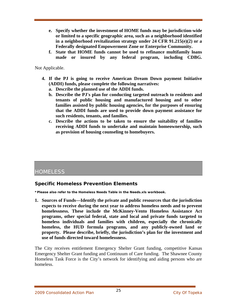- **e. Specify whether the investment of HOME funds may be jurisdiction-wide or limited to a specific geographic area, such as a neighborhood identified in a neighborhood revitalization strategy under 24 CFR 91.215(e)(2) or a Federally designated Empowerment Zone or Enterprise Community.**
- **f. State that HOME funds cannot be used to refinance multifamily loans made or insured by any federal program, including CDBG.**

Not Applicable.

- **4. If the PJ is going to receive American Dream Down payment Initiative (ADDI) funds, please complete the following narratives:** 
	- **a. Describe the planned use of the ADDI funds.**
	- **b. Describe the PJ's plan for conducting targeted outreach to residents and tenants of public housing and manufactured housing and to other families assisted by public housing agencies, for the purposes of ensuring that the ADDI funds are used to provide down payment assistance for such residents, tenants, and families.**
	- **c. Describe the actions to be taken to ensure the suitability of families receiving ADDI funds to undertake and maintain homeownership, such as provision of housing counseling to homebuyers.**

# **HOMELESS**

# **Specific Homeless Prevention Elements**

**\*Please also refer to the Homeless Needs Table in the Needs.xls workbook.** 

**1. Sources of Funds—Identify the private and public resources that the jurisdiction expects to receive during the next year to address homeless needs and to prevent homelessness. These include the McKinney-Vento Homeless Assistance Act programs, other special federal, state and local and private funds targeted to homeless individuals and families with children, especially the chronically homeless, the HUD formula programs, and any publicly-owned land or property. Please describe, briefly, the jurisdiction's plan for the investment and use of funds directed toward homelessness.** 

The City receives entitlement Emergency Shelter Grant funding, competitive Kansas Emergency Shelter Grant funding and Continuum of Care funding. The Shawnee County Homeless Task Force is the City's network for identifying and aiding persons who are homeless.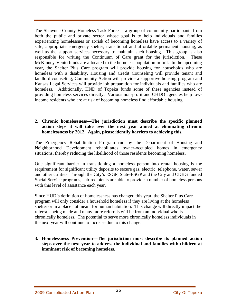The Shawnee County Homeless Task Force is a group of community participants from both the public and private sector whose goal is to help individuals and families experiencing homelessnes or at-risk of becoming homeless have access to a variety of safe, appropriate emergency shelter, transitional and affordable permanent housing, as well as the support services necessary to maintain such housing. This group is also responsible for writing the Continuum of Care grant for the jurisdiction. These McKinney-Vento funds are allocated to the homeless population in full. In the upcoming year, the Shelter Plus Care program will provide housing for households who are homeless with a disability, Housing and Credit Counseling will provide tenant and landlord counseling, Community Action will provide a supportive housing program and Kansas Legal Services will provide job preparation for individuals and families who are homeless. Additionally, HND of Topeka funds some of these agencies instead of providing homeless services directly. Various non-profit and CHDO agencies help lowincome residents who are at risk of becoming homeless find affordable housing.

#### **2. Chronic homelessness—The jurisdiction must describe the specific planned action steps it will take over the next year aimed at eliminating chronic homelessness by 2012. Again, please identify barriers to achieving this.**

The Emergency Rehabilitation Program run by the Department of Housing and Neighborhood Development rehabilitates owner-occupied homes in emergency situations, thereby reducing the likelihood of those residents becoming homeless.

One significant barrier in transitioning a homeless person into rental housing is the requirement for significant utility deposits to secure gas, electric, telephone, water, sewer and other utilities. Through the City's ESGP, State-ESGP and the City and CDBG funded Social Service programs, sub-recipients are able to provide a number of homeless persons with this level of assistance each year.

Since HUD's definition of homelessness has changed this year, the Shelter Plus Care program will only consider a household homeless if they are living at the homeless shelter or in a place not meant for human habitation. This change will directly impact the referrals being made and many more referrals will be from an individual who is chronically homeless. The potential to serve more chronically homeless individuals in the next year will continue to increase due to this change.

**3. Homelessness Prevention—The jurisdiction must describe its planned action steps over the next year to address the individual and families with children at imminent risk of becoming homeless.**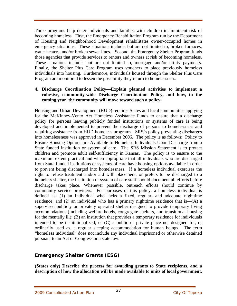Three programs help deter individuals and families with children in imminent risk of becoming homeless. First, the Emergency Rehabilitation Program run by the Department of Housing and Neighborhood Development rehabilitates owner-occupied homes in emergency situations. These situations include, but are not limited to, broken furnaces, water heaters, and/or broken sewer lines. Second, the Emergency Shelter Program funds those agencies that provide services to renters and owners at risk of becoming homeless. These situations include, but are not limited to, mortgage and/or utility payments. Finally, the Shelter Plus Care Program uses vouchers to place previously homeless individuals into housing. Furthermore, individuals housed through the Shelter Plus Care Program are monitored to lessen the possibility they return to homelessness.

# **4. Discharge Coordination Policy—Explain planned activities to implement a cohesive, community-wide Discharge Coordination Policy, and how, in the coming year, the community will move toward such a policy.**

Housing and Urban Development (HUD) requires States and local communities applying for the McKinney-Vento Act Homeless Assistance Funds to ensure that a discharge policy for persons leaving publicly funded institutions or systems of care is being developed and implemented to prevent the discharge of persons to homelessness and requiring assistance from HUD homeless programs. SRS's policy preventing discharges into homelessness was approved in December 2006. The policy is as follows: Policy to Ensure Housing Options are Available to Homeless Individuals Upon Discharge from a State funded institution or system of care. The SRS Mission Statement is to protect children and promote adult self-sufficiency in Kansas. The policy is to ensure to the maximum extent practical and when appropriate that all individuals who are discharged from State funded institutions or systems of care have housing options available in order to prevent being discharged into homelessness. If a homeless individual exercises the right to refuse treatment and/or aid with placement, or prefers to be discharged to a homeless shelter, the institution or system of care staff should document all efforts before discharge takes place. Whenever possible, outreach efforts should continue by community service providers. For purposes of this policy, a homeless individual is defined as: (1) an individual who lacks a fixed, regular, and adequate nighttime residence; and  $(2)$  an individual who has a primary nighttime residence that is— $(A)$  a supervised publicly or privately operated shelter designed to provide temporary living accommodations (including welfare hotels, congregate shelters, and transitional housing for the mentally ill); (B) an institution that provides a temporary residence for individuals intended to be institutionalized; or (C) a public or private place not designed for, or ordinarily used as, a regular sleeping accommodation for human beings. The term "homeless individual" does not include any individual imprisoned or otherwise detained pursuant to an Act of Congress or a state law.

# **Emergency Shelter Grants (ESG)**

**(States only) Describe the process for awarding grants to State recipients, and a description of how the allocation will be made available to units of local government.**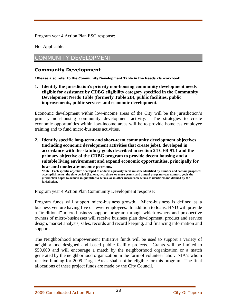[Program year 4 A](#page-2-0)ction Plan ESG response:

Not Applicable.

# COMMUNITY DEVELOPMENT

# **Community Development**

**\*Please also refer to the Community Development Table in the Needs.xls workbook.** 

**1. Identify the jurisdiction's priority non-housing community development needs eligible for assistance by CDBG eligibility category specified in the Community Development Needs Table (formerly Table 2B), public facilities, public improvements, public services and economic development.** 

Economic development within low-income areas of the City will be the jurisdiction's primary non-housing community development activity. The strategies to create economic opportunities within low-income areas will be to provide homeless employee training and to fund micro-business activities.

**2. Identify specific long-term and short-term community development objectives (including economic development activities that create jobs), developed in accordance with the statutory goals described in section 24 CFR 91.1 and the primary objective of the CDBG program to provide decent housing and a suitable living environment and expand economic opportunities, principally for low- and moderate-income persons.** 

**\*Note: Each specific objective developed to address a priority need, must be identified by number and contain proposed accomplishments, the time period (i.e., one, two, three, or more years), and annual program year numeric goals the jurisdiction hopes to achieve in quantitative terms, or in other measurable terms as identified and defined by the jurisdiction.**

[Program year 4 A](#page-2-0)ction Plan Community Development response:

Program funds will support micro-business growth. Micro-business is defined as a business venture having five or fewer employees. In addition to loans, HND will provide a "traditional" micro-business support program through which owners and prospective owners of micro-businesses will receive business plan development, product and service design, market analysis, sales, records and record keeping, and financing information and support.

The Neighborhood Empowerment Initiative funds will be used to support a variety of neighborhood designed and based public facility projects. Grants will be limited to \$50,000 and will encourage a match by the neighborhood organization or a match generated by the neighborhood organization in the form of volunteer labor. NIA's whom receive funding for 2009 Target Areas shall not be eligible for this program. The final allocations of these project funds are made by the City Council.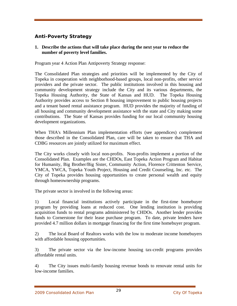# **Anti-Poverty Strategy**

# **1. Describe the actions that will take place during the next year to reduce the number of poverty level families.**

[Program year 4 A](#page-2-0)ction Plan Antipoverty Strategy response:

The Consolidated Plan strategies and priorities will be implemented by the City of Topeka in cooperation with neighborhood-based groups, local non-profits, other service providers and the private sector. The public institutions involved in this housing and community development strategy include the City and its various departments, the Topeka Housing Authority, the State of Kansas and HUD. The Topeka Housing Authority provides access to Section 8 housing improvement to public housing projects and a tenant based rental assistance program. HUD provides the majority of funding of all housing and community development assistance with the state and City making some contributions. The State of Kansas provides funding for our local community housing development organizations.

When THA's Millennium Plan implementation efforts (see appendices) complement those described in the Consolidated Plan, care will be taken to ensure that THA and CDBG resources are jointly utilized for maximum effect.

The City works closely with local non-profits. Non-profits implement a portion of the Consolidated Plan. Examples are the CHDOs, East Topeka Action Program and Habitat for Humanity, Big Brother/Big Sister, Community Action, Florence Crittenton Service, YMCA, YWCA, Topeka Youth Project, Housing and Credit Counseling, Inc. etc. The City of Topeka provides housing opportunities to create personal wealth and equity through homeownership programs.

The private sector is involved in the following areas:

1) Local financial institutions actively participate in the first-time homebuyer program by providing loans at reduced cost. One lending institution is providing acquisition funds to rental programs administered by CHDOs. Another lender provides funds to Cornerstone for their lease purchase program. To date, private lenders have provided 4.7 million dollars in mortgage financing for the first time homebuyer program.

2) The local Board of Realtors works with the low to moderate income homebuyers with affordable housing opportunities.

3) The private sector via the low-income housing tax-credit programs provides affordable rental units.

4) The City issues multi-family housing revenue bonds to renovate rental units for low-income families.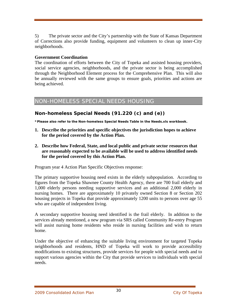5) The private sector and the City's partnership with the State of Kansas Department of Corrections also provide funding, equipment and volunteers to clean up inner-City neighborhoods.

# **Government Coordination**

The coordination of efforts between the City of Topeka and assisted housing providers, social service agencies, neighborhoods, and the private sector is being accomplished through the Neighborhood Element process for the Comprehensive Plan. This will also be annually reviewed with the same groups to ensure goals, priorities and actions are being achieved.

# NON-HOMELESS SPECIAL NEEDS HOUSING

# **Non-homeless Special Needs (91.220 (c) and (e))**

**\*Please also refer to the Non-homeless Special Needs Table in the Needs.xls workbook.** 

- **1. Describe the priorities and specific objectives the jurisdiction hopes to achieve for the period covered by the Action Plan.**
- **2. Describe how Federal, State, and local public and private sector resources that are reasonably expected to be available will be used to address identified needs for the period covered by this Action Plan.**

[Program year 4 A](#page-2-0)ction Plan Specific Objectives response:

The primary supportive housing need exists in the elderly subpopulation. According to figures from the Topeka Shawnee County Health Agency, there are 700 frail elderly and 1,000 elderly persons needing supportive services and an additional 2,000 elderly in nursing homes. There are approximately 10 privately owned Section 8 or Section 202 housing projects in Topeka that provide approximately 1200 units to persons over age 55 who are capable of independent living.

A secondary supportive housing need identified is the frail elderly. In addition to the services already mentioned, a new program via SRS called Community Re-entry Program will assist nursing home residents who reside in nursing facilities and wish to return home.

Under the objective of enhancing the suitable living environment for targeted Topeka neighborhoods and residents, HND of Topeka will work to provide accessibility modifications to existing structures, provide services for people with special needs and to support various agencies within the City that provide services to individuals with special needs.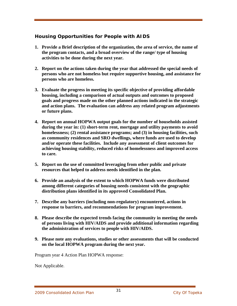# **Housing Opportunities for People with AIDS**

- **1. Provide a Brief description of the organization, the area of service, the name of the program contacts, and a broad overview of the range/ type of housing activities to be done during the next year.**
- **2. Report on the actions taken during the year that addressed the special needs of persons who are not homeless but require supportive housing, and assistance for persons who are homeless.**
- **3. Evaluate the progress in meeting its specific objective of providing affordable housing, including a comparison of actual outputs and outcomes to proposed goals and progress made on the other planned actions indicated in the strategic and action plans. The evaluation can address any related program adjustments or future plans.**
- **4. Report on annual HOPWA output goals for the number of households assisted during the year in: (1) short-term rent, mortgage and utility payments to avoid homelessness; (2) rental assistance programs; and (3) in housing facilities, such as community residences and SRO dwellings, where funds are used to develop and/or operate these facilities. Include any assessment of client outcomes for achieving housing stability, reduced risks of homelessness and improved access to care.**
- **5. Report on the use of committed leveraging from other public and private resources that helped to address needs identified in the plan.**
- **6. Provide an analysis of the extent to which HOPWA funds were distributed among different categories of housing needs consistent with the geographic distribution plans identified in its approved Consolidated Plan.**
- **7. Describe any barriers (including non-regulatory) encountered, actions in response to barriers, and recommendations for program improvement.**
- **8. Please describe the expected trends facing the community in meeting the needs of persons living with HIV/AIDS and provide additional information regarding the administration of services to people with HIV/AIDS.**
- **9. Please note any evaluations, studies or other assessments that will be conducted on the local HOPWA program during the next year.**

[Program year 4 A](#page-2-0)ction Plan HOPWA response:

Not Applicable.

2009 Consolidated Action Plan 2009 31 and 2009 Consolidated Action Plan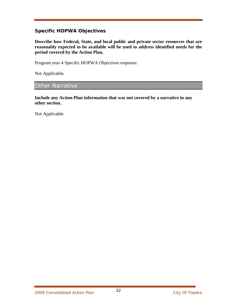# **Specific HOPWA Objectives**

**Describe how Federal, State, and local public and private sector resources that are reasonably expected to be available will be used to address identified needs for the period covered by the Action Plan.** 

[Program year 4 S](#page-2-0)pecific HOPWA Objectives response:

Not Applicable*.*

# Other Narrative

**Include any Action Plan information that was not covered by a narrative in any other section.** 

Not Applicable.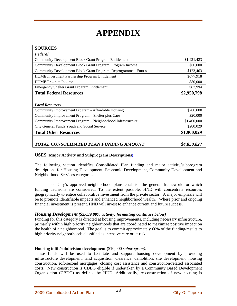# **APPENDIX**

| <b>SOURCES</b>                                                |             |  |  |
|---------------------------------------------------------------|-------------|--|--|
| Federal                                                       |             |  |  |
| <b>Community Development Block Grant Program Entitlement</b>  | \$1,921,423 |  |  |
| Community Development Block Grant Program: Program Income     | \$60,000    |  |  |
| Community Development Block Grant Program: Reprogrammed Funds | \$123,463   |  |  |
| HOME Investment Partnership Program Entitlement               | \$677,918   |  |  |
| <b>HOME</b> Program Income                                    | \$80,000    |  |  |
| <b>Emergency Shelter Grant Program Entitlement</b>            | \$87,994    |  |  |
| <b>Total Federal Resources</b>                                | \$2,950,798 |  |  |
|                                                               |             |  |  |
| <b>Local Resources</b>                                        |             |  |  |
| Community Improvement Program - Affordable Housing            | \$200,000   |  |  |
| Community Improvement Program - Shelter plus Care             | \$20,000    |  |  |
| Community Improvement Program - Neighborhood Infrastructure   | \$1,400,000 |  |  |
| City General Funds Youth and Social Service                   | \$280,029   |  |  |
| <b>Total Other Resources</b>                                  | \$1,900,029 |  |  |
| TOTAL CONSOLIDATED PLAN FUNDING AMOUNT                        | \$4,850,827 |  |  |

#### **USES (Major Activity and Subprogram Descriptions)**

The following section identifies Consolidated Plan funding and major activity/subprogram descriptions for Housing Development, Economic Development, Community Development and Neighborhood Services categories.

The City's approved neighborhood plans establish the general framework for which funding decisions are considered. To the extent possible, HND will concentrate resources geographically to entice collaborative investment from the private sector. A major emphasis will be to promote identifiable impacts and enhanced neighborhood wealth. Where prior and ongoing financial investment is present, HND will invest to enhance current and future success.

#### *Housing Development (\$2,039,807) activity; formatting continues below)*

Funding for this category is directed at housing improvements, including necessary infrastructure, primarily within high priority neighborhoods that are coordinated to maximize positive impact on the health of a neighborhood. The goal is to commit approximately 60% of the funding/results to high priority neighborhoods classified as intensive care or at-risk.

#### **Housing infill/subdivision development (**\$10,000 *subprogram):*

These funds will be used to facilitate and support housing development by providing infrastructure development, land acquisition, clearance, demolition, site development, housing construction, soft-second mortgages, closing cost assistance and construction-related associated costs. New construction is CDBG eligible if undertaken by a Community Based Development Organization (CBDO) as defined by HUD. Additionally, re-construction of new housing is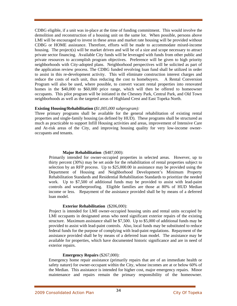CDBG eligible, if a unit was in-place at the time of funding commitment. This would involve the demolition and reconstruction of a housing unit on the same lot. When possible, persons above LMI will be encouraged to invest in these areas and market rate housing will be provided without CDBG or HOME assistance. Therefore, efforts will be made to accommodate mixed-income housing. The project(s) will be market driven and will be of a size and scope necessary to attract private sector financing. Available City funds will be leveraged with funds from other public and private resources to accomplish program objectives. Preference will be given to high priority neighborhoods with City-adopted plans. Neighborhood perspectives will be solicited as part of the application review process. The CDBG funded revolving loan fund shall be utilized in order to assist in this re-development activity. This will eliminate construction interest charges and reduce the costs of each unit, thus reducing the cost to homebuyers. A Rental Conversion Program will also be used, where possible, to convert vacant rental properties into renovated homes in the \$40,000 to \$60,000 price range, which will then be offered to homeowner occupants. This pilot program will be initiated in the Chesney Park, Central Park, and Old Town neighborhoods as well as the targeted areas of Highland Crest and East Topeka North.

#### **Existing Housing/Rehabilitation (***\$1,005,000 subprogram):*

Three primary programs shall be available for the general rehabilitation of existing rental properties and single-family housing (as defined by HUD). These programs shall be structured as much as practicable to support Infill Housing activities and areas, improvement of Intensive Care and At-risk areas of the City, and improving housing quality for very low-income owneroccupants and tenants.

#### **Major Rehabilitation** (\$487,000):

Primarily intended for owner-occupied properties in selected areas. However, up to thirty percent (30%) may be set aside for the rehabilitation of rental properties subject to selection by an RFP process. Up to \$25,000.00 in assistance may be provided using the Department of Housing and Neighborhood Development's Minimum Property Rehabilitation Standards and Residential Rehabilitation Standards to prioritize the needed work. Up to \$7,500 of additional funds may be provided to assist with lead-paint controls and weatherproofing. Eligible families are those at 80% of HUD Median income or less. Repayment of the assistance provided shall be by means of a deferred loan model.

#### **Exterior Rehabilitation** (\$206,000):

Project is intended for LMI owner-occupied housing units and rental units occupied by LMI occupants in designated areas who need significant exterior repairs of the existing structure. Maximum assistance shall be \$7,500. Up to \$5,000 of additional funds may be provided to assist with lead-paint controls. Also, local funds may be substituted to reduce federal funds for the purpose of complying with lead-paint regulations. Repayment of the assistance provided shall be by means of a deferred loan model. The assistance may be available for properties, which have documented historic significance and are in need of exterior repairs.

#### **Emergency Repairs** (\$267,000):

Emergency home repair assistance (primarily repairs that are of an immediate health or safety nature) for owner-occupant within the City, whose incomes are at or below 60% of the Median. This assistance is intended for higher cost, major emergency repairs. Minor maintenance and repairs remain the primary responsibility of the homeowner.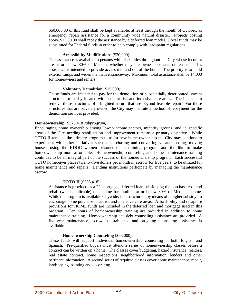\$50,000.00 of this fund shall be kept available, at least through the month of October, as emergency repair assistance for a community wide natural disaster. Projects costing above \$1,500.00 shall repay the assistance by a deferred loan model. Local funds may be substituted for Federal funds in order to help comply with lead-paint regulations.

#### **Accessibility Modifications** (\$30,000):

 This assistance is available to persons with disabilities throughout the City whose incomes are at or below 80% of Median, whether they are owner-occupants or tenants. This assistance is intended to provide access into and out of the home. The priority is to build exterior ramps and widen the main entranceway. Maximum total assistance shall be \$4,000 for homeowners and renters.

#### **Voluntary Demolition** (\$15,000):

These funds are intended to pay for the demolition of substantially deteriorated, vacant structures primarily located within the at-risk and intensive care areas. The intent is to remove those structures of a blighted nature that are beyond feasible repair. For those structures that are privately owned, the City may institute a method of repayment for the demolition services provided.

#### **Homeownership** (\$373,418 *subprogram):*

Encouraging home ownership among lower-income sectors, minority groups, and in specific areas of the City needing stabilization and improvement remains a primary objective. While TOTO-II remains the primary program to assist new home ownership the City may continue to experiment with other initiatives such as purchasing and converting vacant housing, moving houses, using the KDOC women prisoner rehab training program and the like to make homeownership more affordable. Homeownership counseling and home maintenance training continues to be an integral part of the success of the homeownership program. Each successful TOTO homebuyer places twenty-five dollars per month in escrow for five years, to be utilized for home maintenance and repairs. Lending institutions participate by managing the maintenance escrow.

#### **TOTO-II** (\$285,418):

Assistance is provided as a  $2<sup>nd</sup>$  mortgage, deferred loan subsidizing the purchase cost and rehab (when applicable) of a home for families at or below 80% of Median income. While the program is available Citywide, it is structured, by means of a higher subsidy, to encourage home purchase in at-risk and intensive care areas. Affordability and recapture provisions for HOME funds are included in the deferred loan and mortgage used in this program. Ten hours of homeownership training are provided in addition to home maintenance training. Homeownership and debt counseling assistance are provided. A five-year maintenance escrow is established and on-going counseling assistance is available.

#### **Homeownership Counseling** (\$88,000):

 These funds will support individual homeownership counseling in both English and Spanish. Pre-qualified buyers must attend a series of homeownership classes before a contract can be written on a home. The classes cover budgeting, hazard insurance, realtors, real estate contract, home inspections, neighborhood information, lenders and other pertinent information. A second series of required classes cover home maintenance, repair, landscaping, painting and decorating.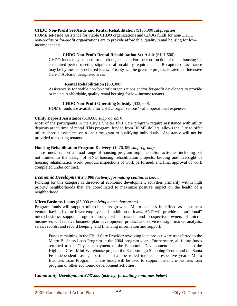#### **CHDO Non-Profit Set-Aside and Rental Rehabilitation** (\$165,000 *subprogram*):

HOME set-aside assistance for viable CHDO organizations and CDBG funds for non-CHDO non-profits or for-profit organizations are to provide affordable, quality rental housing for lowincome tenants.

#### **CHDO Non-Profit Rental Rehabilitation Set-Aside** (\$101,500):

CHDO funds may be used for purchase, rehab and/or the construction of rental housing for a required period meeting stipulated affordability requirements. Recapture of assistance may be by means of deferred loans. Priority will be given to projects located in "Intensive Care"/"At-Risk" designated areas

#### **Rental Rehabilitation** (\$30,000)

 Assistance is for viable not-for-profit organizations and/or for-profit developers to provide or maintain affordable, quality rental housing for low-income tenants.

#### **CHDO Non-Profit Operating Subsidy** (\$33,500):

HOME funds are available for CHDO organizations' valid operational expenses.

#### **Utility Deposit Assistance (**\$10,000 *subprogram):*

Most of the participants in the City's Shelter Plus Care program require assistance with utility deposits at the time of rental. This program, funded from HOME dollars, allows the City to offer utility deposit assistance on a one time grant to qualifying individuals. Assistance will not be provided to existing tenants.

#### **Housing Rehabilitation Program Delivery** (\$476,389 *subprogram):*

These funds support a broad range of housing program implementation activities including but not limited to the design of HND housing rehabilitation projects, bidding and oversight of housing rehabilitation work, periodic inspections of work performed, and final approval of work completed under contract.

#### *Economic Development \$ 5,000 (activity, formatting continues below)*

Funding for this category is directed at economic development activities primarily within high priority neighborhoods that are coordinated to maximize positive impact on the health of a neighborhood.

#### **Micro Business Loans** (\$5,000 *revolving loan subprogram):*

Program funds will support micro-business growth. Micro-business is defined as a business venture having five or fewer employees. In addition to loans, HND will provide a "traditional" micro-business support program through which owners and prospective owners of microbusinesses will receive business plan development, product and service design, market analysis, sales, records, and record keeping, and financing information and support.

Funds remaining in the Child Care Provider revolving loan project were transferred to the Micro Business Loan Program in the 2004 program year. Furthermore, all future funds returned to the City as repayment of the Economic Development loans made to the Highland Crest Mini-Warehouse project, the Eastborough Shopping Center and the Santa Fe Independent Living apartments shall be rolled into each respective year's Micro Business Loan Program. These funds will be used to support the micro-business loan program or other economic development activities.

#### *Community Development \$237,000 (activity; formatting continues below)*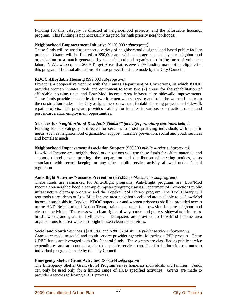Funding for this category is directed at neighborhood projects, and the affordable housings program. This funding is not necessarily targeted for high priority neighborhoods.

#### **Neighborhood Empowerment Initiative (**\$150,000 *subprogram):*

These funds will be used to support a variety of neighborhood designed and based public facility projects. Grants will be limited to \$50,000 and will encourage a match by the neighborhood organization or a match generated by the neighborhood organization in the form of volunteer labor. NIA's who contain 2009 Target Areas that receive 2009 funding may not be eligible for this program. The final allocations of these project funds are made by the City Council.

#### **KDOC Affordable Housing (**\$99,000 *subprogram):*

Project is a cooperative venture with the Kansas Department of Corrections, in which KDOC provides women inmates, tools and equipment to form two (2) crews for the rehabilitation of affordable housing units and Low-Mod Income Area infrastructure sidewalk improvements. These funds provide the salaries for two foremen who supervise and train the women inmates in the construction trades. The City assigns these crews to affordable housing projects and sidewalk repair projects. This program provides training for inmates in various construction, repair and post incarceration employment opportunities.

#### *Services for Neighborhood Residents \$660,886 (activity; formatting continues below)*

Funding for this category is directed for services to assist qualifying individuals with specific needs, such as neighborhood organization support, nuisance prevention, social and youth services and homeless needs.

#### **Neighborhood Improvement Association Support (**\$50,000 *public service subprogram):*

Low/Mod-Income area neighborhood organizations will use these funds for office materials and support, miscellaneous printing, the preparation and distribution of meeting notices, costs associated with record keeping or any other public service activity allowed under federal regulation.

#### **Anti-Blight Activities/Nuisance Prevention (**\$65,853 *public service subprogram):*

These funds are earmarked for Anti-Blight programs. Anti-Blight programs are: Low/Mod Income area neighborhood clean-up dumpster program; Kansas Department of Corrections public infrastructure clean-up program; and the Topeka Tool Library program. The Tool Library will rent tools to residents of Low/Mod-Income area neighborhoods and are available to all Low/Mod income households in Topeka. KDOC supervisor and women prisoners shall be provided access to the HND Neighborhood Action Team, trailer, and tools for Low/Mod Income neighborhood clean-up activities. The crews will clean rights-of-way, curbs and gutters, sidewalks, trim trees, brush, weeds and grass in LMI areas. Dumpsters are provided to Low/Mod Income area organizations for area-wide anti-blight citizen clean-up activities.

#### **Social and Youth Services** (\$181,360 and \$280,029*-*City GF *public service subprogram):*

Grants are made to social and youth service provider agencies following a RFP process. These CDBG funds are leveraged with City General funds. These grants are classified as public service expenditures and are counted against the public services cap. The final allocation of funds to individual program is made by the City Council.

#### **Emergency Shelter Grant Activities** (\$83,644 *subprogram):*

The Emergency Shelter Grant (ESG) Program serves homeless individuals and families. Funds can only be used only for a limited range of HUD specified activities. Grants are made to provider agencies following a RFP process.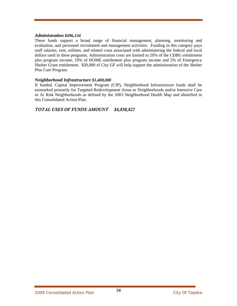#### *Administration \$496,134*

These funds support a broad range of financial management, planning, monitoring and evaluation, and personnel recruitment and management activities. Funding in this category pays staff salaries, rent, utilities, and related costs associated with administering the federal and local dollars used in these programs. Administration costs are limited to 20% of the CDBG entitlement plus program income, 10% of HOME entitlement plus program income and 5% of Emergency Shelter Grant entitlement. \$20,000 of City GF will help support the administration of the Shelter Plus Care Program.

#### *Neighborhood Infrastructure \$1,400,000*

If funded, Capital Improvement Program (CIP), Neighborhood Infrastructure funds shall be earmarked primarily for Targeted Redevelopment Areas or Neighborhoods and/or Intensive Care or At Risk Neighborhoods as defined by the 2003 Neighborhood Health Map and identified in this Consolidated Action Plan.

#### *TOTAL USES OF FUNDS AMOUNT \$4,850,827*